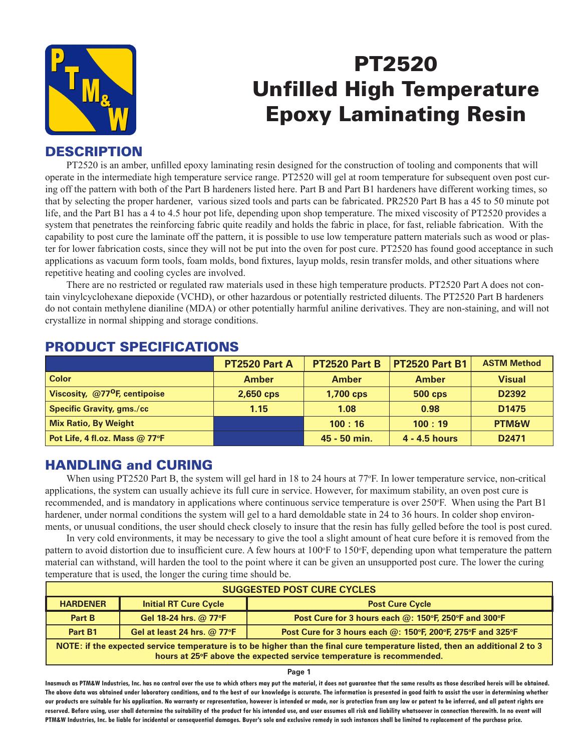

# PT2520 Unfilled High Temperature Epoxy Laminating Resin

# **DESCRIPTION**

PT2520 is an amber, unfilled epoxy laminating resin designed for the construction of tooling and components that will operate in the intermediate high temperature service range. PT2520 will gel at room temperature for subsequent oven post curing off the pattern with both of the Part B hardeners listed here. Part B and Part B1 hardeners have different working times, so that by selecting the proper hardener, various sized tools and parts can be fabricated. PR2520 Part B has a 45 to 50 minute pot life, and the Part B1 has a 4 to 4.5 hour pot life, depending upon shop temperature. The mixed viscosity of PT2520 provides a system that penetrates the reinforcing fabric quite readily and holds the fabric in place, for fast, reliable fabrication. With the capability to post cure the laminate off the pattern, it is possible to use low temperature pattern materials such as wood or plaster for lower fabrication costs, since they will not be put into the oven for post cure. PT2520 has found good acceptance in such applications as vacuum form tools, foam molds, bond fixtures, layup molds, resin transfer molds, and other situations where repetitive heating and cooling cycles are involved.

There are no restricted or regulated raw materials used in these high temperature products. PT2520 Part A does not contain vinylcyclohexane diepoxide (VCHD), or other hazardous or potentially restricted diluents. The PT2520 Part B hardeners do not contain methylene dianiline (MDA) or other potentially harmful aniline derivatives. They are non-staining, and will not crystallize in normal shipping and storage conditions.

|                                           | <b>PT2520 Part A</b> | PT2520 Part B    | <b>PT2520 Part B1</b> | <b>ASTM Method</b> |
|-------------------------------------------|----------------------|------------------|-----------------------|--------------------|
| <b>Color</b>                              | <b>Amber</b>         | <b>Amber</b>     | <b>Amber</b>          | <b>Visual</b>      |
| Viscosity, @77 <sup>o</sup> F, centipoise | $2,650$ cps          | <b>1,700 cps</b> | <b>500 cps</b>        | D <sub>2392</sub>  |
| <b>Specific Gravity, gms./cc/</b>         | 1.15                 | 1.08             | 0.98                  | D <sub>1475</sub>  |
| <b>Mix Ratio, By Weight</b>               |                      | 100:16           | 100:19                | <b>PTM&amp;W</b>   |
| Pot Life, 4 fl.oz. Mass @ 77°F            |                      | 45 - 50 min.     | 4 - 4.5 hours         | D <sub>2471</sub>  |

## PRODUCT SPECIFICATIONS

## HANDLING and CURING

When using PT2520 Part B, the system will gel hard in 18 to 24 hours at 77°F. In lower temperature service, non-critical applications, the system can usually achieve its full cure in service. However, for maximum stability, an oven post cure is recommended, and is mandatory in applications where continuous service temperature is over 250°F. When using the Part B1 hardener, under normal conditions the system will gel to a hard demoldable state in 24 to 36 hours. In colder shop environments, or unusual conditions, the user should check closely to insure that the resin has fully gelled before the tool is post cured.

In very cold environments, it may be necessary to give the tool a slight amount of heat cure before it is removed from the pattern to avoid distortion due to insufficient cure. A few hours at 100°F to 150°F, depending upon what temperature the pattern material can withstand, will harden the tool to the point where it can be given an unsupported post cure. The lower the curing temperature that is used, the longer the curing time should be.

| <b>SUGGESTED POST CURE CYCLES</b>                                                                                                                                                                   |                                            |                                                               |  |  |
|-----------------------------------------------------------------------------------------------------------------------------------------------------------------------------------------------------|--------------------------------------------|---------------------------------------------------------------|--|--|
| <b>HARDENER</b>                                                                                                                                                                                     | <b>Initial RT Cure Cycle</b>               | <b>Post Cure Cycle</b>                                        |  |  |
| Part B                                                                                                                                                                                              | Gel 18-24 hrs. @ 77°F                      | Post Cure for 3 hours each $@:150^{\circ}$ F, 250°F and 300°F |  |  |
| Part B1                                                                                                                                                                                             | Gel at least 24 hrs. $@$ 77 ${}^{\circ}$ F | Post Cure for 3 hours each @: 150°F, 200°F, 275°F and 325°F   |  |  |
| NOTE: if the expected service temperature is to be higher than the final cure temperature listed, then an additional 2 to 3<br>hours at 25°F above the expected service temperature is recommended. |                                            |                                                               |  |  |

**Page 1**

**Inasmuch as PTM&W Industries, Inc. has no control over the use to which others may put the material, it does not guarantee that the same results as those described hereis will be obtained. The above data was obtained under laboratory conditions, and to the best of our knowledge is accurate. The information is presented in good faith to assist the user in determining whether our products are suitable for his application. No warranty or representation, however is intended or made, nor is protection from any law or patent to be inferred, and all patent rights are**  reserved. Before using, user shall determine the suitability of the product for his intended use, and user assumes all risk and liability whatsoever in connection therewith. In no event will **PTM&W Industries, Inc. be liable for incidental or consequential damages. Buyer's sole and exclusive remedy in such instances shall be limited to replacement of the purchase price.**